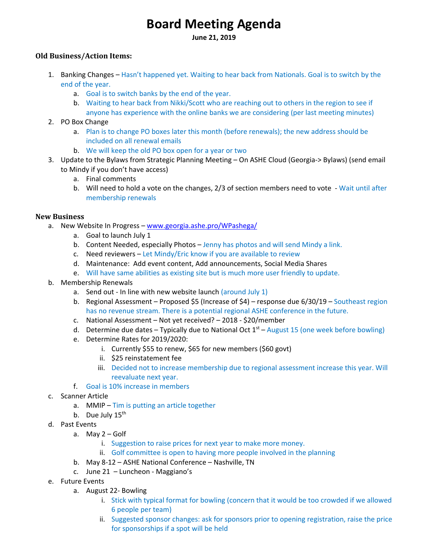# **Board Meeting Agenda**

**June 21, 2019** 

## **Old Business/Action Items:**

- 1. Banking Changes Hasn't happened yet. Waiting to hear back from Nationals. Goal is to switch by the end of the year.
	- a. Goal is to switch banks by the end of the year.
	- b. Waiting to hear back from Nikki/Scott who are reaching out to others in the region to see if anyone has experience with the online banks we are considering (per last meeting minutes)
- 2. PO Box Change
	- a. Plan is to change PO boxes later this month (before renewals); the new address should be included on all renewal emails
	- b. We will keep the old PO box open for a year or two
- 3. Update to the Bylaws from Strategic Planning Meeting On ASHE Cloud (Georgia‐> Bylaws) (send email to Mindy if you don't have access)
	- a. Final comments
	- b. Will need to hold a vote on the changes, 2/3 of section members need to vote Wait until after membership renewals

### **New Business**

- a. New Website In Progress www.georgia.ashe.pro/WPashega/
	- a. Goal to launch July 1
	- b. Content Needed, especially Photos Jenny has photos and will send Mindy a link.
	- c. Need reviewers Let Mindy/Eric know if you are available to review
	- d. Maintenance: Add event content, Add announcements, Social Media Shares
	- e. Will have same abilities as existing site but is much more user friendly to update.
- b. Membership Renewals
	- a. Send out In line with new website launch (around July  $1$ )
	- b. Regional Assessment Proposed \$5 (Increase of \$4) response due 6/30/19 Southeast region has no revenue stream. There is a potential regional ASHE conference in the future.
	- c. National Assessment Not yet received? 2018 ‐ \$20/member
	- d. Determine due dates Typically due to National Oct  $1<sup>st</sup>$  August 15 (one week before bowling)
	- e. Determine Rates for 2019/2020:
		- i. Currently \$55 to renew, \$65 for new members (\$60 govt)
		- ii. \$25 reinstatement fee
		- iii. Decided not to increase membership due to regional assessment increase this year. Will reevaluate next year.
	- f. Goal is 10% increase in members
- c. Scanner Article
	- a. MMIP Tim is putting an article together
	- b. Due July  $15^{\text{th}}$
- d. Past Events
	- a. May 2 Golf
		- i. Suggestion to raise prices for next year to make more money.
		- ii. Golf committee is open to having more people involved in the planning
	- b. May 8‐12 ASHE National Conference Nashville, TN
	- c. June 21 Luncheon Maggiano's
- e. Future Events
	- a. August 22‐ Bowling
		- i. Stick with typical format for bowling (concern that it would be too crowded if we allowed 6 people per team)
		- ii. Suggested sponsor changes: ask for sponsors prior to opening registration, raise the price for sponsorships if a spot will be held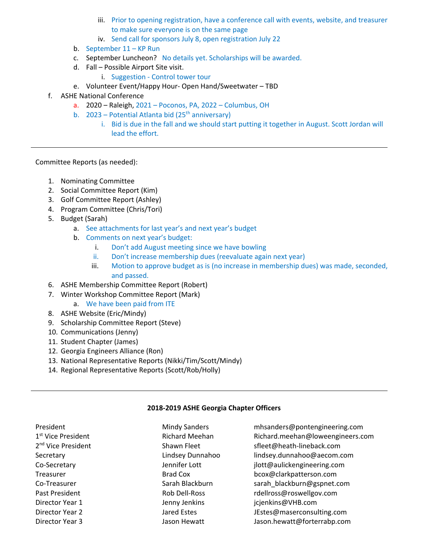- iii. Prior to opening registration, have a conference call with events, website, and treasurer to make sure everyone is on the same page
- iv. Send call for sponsors July 8, open registration July 22
- b. September 11 KP Run
- c. September Luncheon? No details yet. Scholarships will be awarded.
- d. Fall Possible Airport Site visit.
	- i. Suggestion ‐ Control tower tour
- e. Volunteer Event/Happy Hour‐ Open Hand/Sweetwater TBD
- f. ASHE National Conference
	- a. 2020 Raleigh, 2021 Poconos, PA, 2022 Columbus, OH
	- b. 2023 Potential Atlanta bid (25<sup>th</sup> anniversary)
		- i. Bid is due in the fall and we should start putting it together in August. Scott Jordan will lead the effort.

Committee Reports (as needed):

- 1. Nominating Committee
- 2. Social Committee Report (Kim)
- 3. Golf Committee Report (Ashley)
- 4. Program Committee (Chris/Tori)
- 5. Budget (Sarah)
	- a. See attachments for last year's and next year's budget
	- b. Comments on next year's budget:
		- i. Don't add August meeting since we have bowling
		- ii. Don't increase membership dues (reevaluate again next year)
		- iii. Motion to approve budget as is (no increase in membership dues) was made, seconded, and passed.
- 6. ASHE Membership Committee Report (Robert)
- 7. Winter Workshop Committee Report (Mark)
	- a. We have been paid from ITE
- 8. ASHE Website (Eric/Mindy)
- 9. Scholarship Committee Report (Steve)
- 10. Communications (Jenny)
- 11. Student Chapter (James)
- 12. Georgia Engineers Alliance (Ron)
- 13. National Representative Reports (Nikki/Tim/Scott/Mindy)
- 14. Regional Representative Reports (Scott/Rob/Holly)

# **2018‐2019 ASHE Georgia Chapter Officers**

| President                      | <b>Mindy Sanders</b>  | mhsanders@pontengineering.com    |
|--------------------------------|-----------------------|----------------------------------|
| 1 <sup>st</sup> Vice President | <b>Richard Meehan</b> | Richard.meehan@loweengineers.com |
| 2 <sup>nd</sup> Vice President | Shawn Fleet           | sfleet@heath-lineback.com        |
| Secretary                      | Lindsey Dunnahoo      | lindsey.dunnahoo@aecom.com       |
| Co-Secretary                   | Jennifer Lott         | jlott@aulickengineering.com      |
| Treasurer                      | Brad Cox              | bcox@clarkpatterson.com          |
| Co-Treasurer                   | Sarah Blackburn       | sarah_blackburn@gspnet.com       |
| Past President                 | Rob Dell-Ross         | rdellross@roswellgov.com         |
| Director Year 1                | Jenny Jenkins         | jcjenkins@VHB.com                |
| Director Year 2                | Jared Estes           | JEstes@maserconsulting.com       |
| Director Year 3                | Jason Hewatt          | Jason.hewatt@forterrabp.com      |